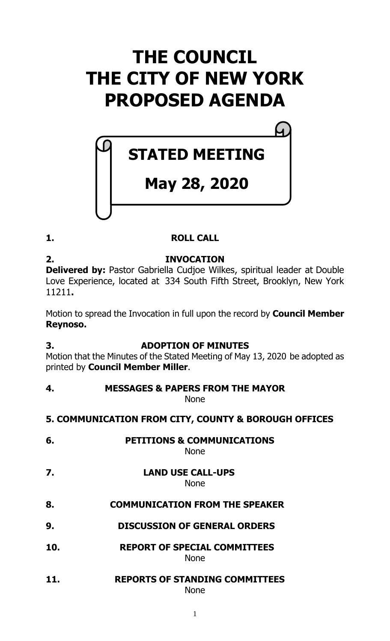# **THE COUNCIL THE CITY OF NEW YORK PROPOSED AGENDA**

# **STATED MEETING**

## **May 28, 2020**

## **1. ROLL CALL**

## **2. INVOCATION**

**Delivered by:** Pastor Gabriella Cudjoe Wilkes, spiritual leader at Double Love Experience, located at 334 South Fifth Street, Brooklyn, New York 11211**.**

Motion to spread the Invocation in full upon the record by **Council Member Reynoso.**

## **3. ADOPTION OF MINUTES**

Motion that the Minutes of the Stated Meeting of May 13, 2020 be adopted as printed by **Council Member Miller**.

**4. MESSAGES & PAPERS FROM THE MAYOR** None

## **5. COMMUNICATION FROM CITY, COUNTY & BOROUGH OFFICES**

- **6. PETITIONS & COMMUNICATIONS** None
- **7. LAND USE CALL-UPS**

## None

## **8. COMMUNICATION FROM THE SPEAKER**

- **9. DISCUSSION OF GENERAL ORDERS**
- **10. REPORT OF SPECIAL COMMITTEES** None
- **11. REPORTS OF STANDING COMMITTEES** None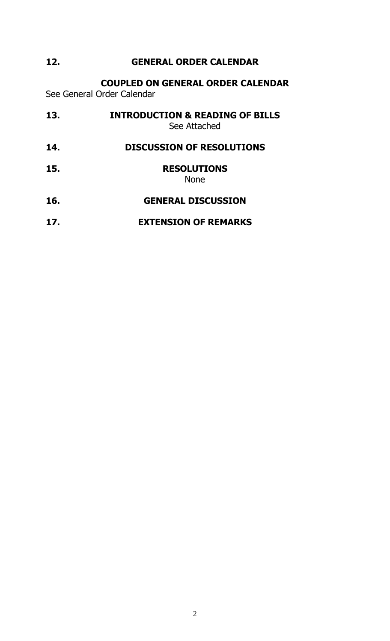## **12. GENERAL ORDER CALENDAR**

**COUPLED ON GENERAL ORDER CALENDAR**

See General Order Calendar

| 13. | <b>INTRODUCTION &amp; READING OF BILLS</b><br>See Attached |
|-----|------------------------------------------------------------|
| 14. | <b>DISCUSSION OF RESOLUTIONS</b>                           |
| 15. | <b>RESOLUTIONS</b><br><b>None</b>                          |
| 16. | <b>GENERAL DISCUSSION</b>                                  |
| 17. | <b>EXTENSION OF REMARKS</b>                                |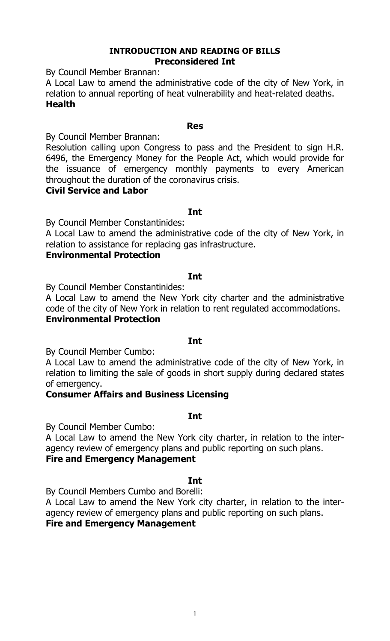#### **INTRODUCTION AND READING OF BILLS Preconsidered Int**

By Council Member Brannan:

A Local Law to amend the administrative code of the city of New York, in relation to annual reporting of heat vulnerability and heat-related deaths. **Health**

#### **Res**

By Council Member Brannan:

Resolution calling upon Congress to pass and the President to sign H.R. 6496, the Emergency Money for the People Act, which would provide for the issuance of emergency monthly payments to every American throughout the duration of the coronavirus crisis.

#### **Civil Service and Labor**

**Int**

By Council Member Constantinides:

A Local Law to amend the administrative code of the city of New York, in relation to assistance for replacing gas infrastructure.

#### **Environmental Protection**

#### **Int**

By Council Member Constantinides:

A Local Law to amend the New York city charter and the administrative code of the city of New York in relation to rent regulated accommodations. **Environmental Protection**

#### **Int**

By Council Member Cumbo:

A Local Law to amend the administrative code of the city of New York, in relation to limiting the sale of goods in short supply during declared states of emergency.

#### **Consumer Affairs and Business Licensing**

**Int**

By Council Member Cumbo:

A Local Law to amend the New York city charter, in relation to the interagency review of emergency plans and public reporting on such plans.

#### **Fire and Emergency Management**

#### **Int**

By Council Members Cumbo and Borelli:

A Local Law to amend the New York city charter, in relation to the interagency review of emergency plans and public reporting on such plans.

## **Fire and Emergency Management**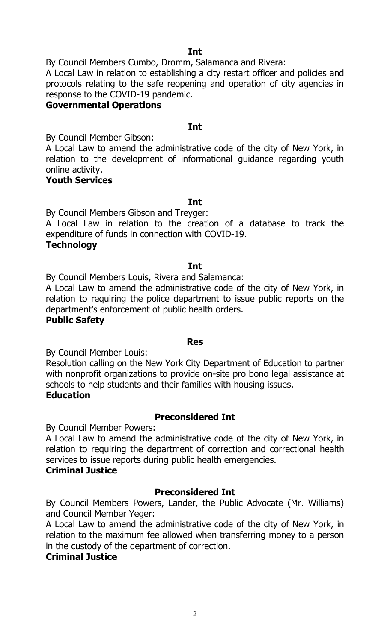**Int**

By Council Members Cumbo, Dromm, Salamanca and Rivera:

A Local Law in relation to establishing a city restart officer and policies and protocols relating to the safe reopening and operation of city agencies in response to the COVID-19 pandemic.

#### **Governmental Operations**

#### **Int**

By Council Member Gibson:

A Local Law to amend the administrative code of the city of New York, in relation to the development of informational guidance regarding youth online activity.

#### **Youth Services**

#### **Int**

By Council Members Gibson and Treyger:

A Local Law in relation to the creation of a database to track the expenditure of funds in connection with COVID-19.

#### **Technology**

#### **Int**

By Council Members Louis, Rivera and Salamanca:

A Local Law to amend the administrative code of the city of New York, in relation to requiring the police department to issue public reports on the department's enforcement of public health orders.

#### **Public Safety**

#### **Res**

By Council Member Louis:

Resolution calling on the New York City Department of Education to partner with nonprofit organizations to provide on-site pro bono legal assistance at schools to help students and their families with housing issues.

#### **Education**

#### **Preconsidered Int**

By Council Member Powers:

A Local Law to amend the administrative code of the city of New York, in relation to requiring the department of correction and correctional health services to issue reports during public health emergencies.

#### **Criminal Justice**

#### **Preconsidered Int**

By Council Members Powers, Lander, the Public Advocate (Mr. Williams) and Council Member Yeger:

A Local Law to amend the administrative code of the city of New York, in relation to the maximum fee allowed when transferring money to a person in the custody of the department of correction.

#### **Criminal Justice**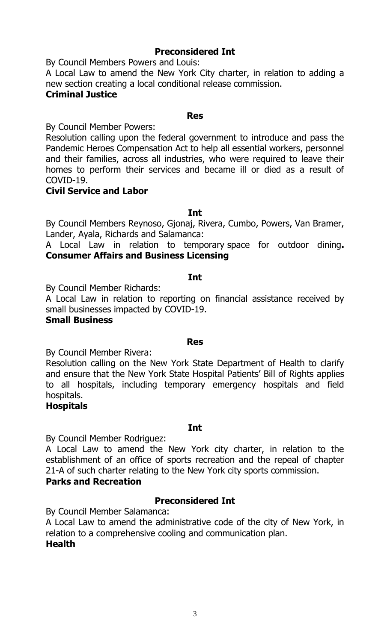#### **Preconsidered Int**

By Council Members Powers and Louis:

A Local Law to amend the New York City charter, in relation to adding a new section creating a local conditional release commission.

#### **Criminal Justice**

#### **Res**

By Council Member Powers:

Resolution calling upon the federal government to introduce and pass the Pandemic Heroes Compensation Act to help all essential workers, personnel and their families, across all industries, who were required to leave their homes to perform their services and became ill or died as a result of COVID-19.

#### **Civil Service and Labor**

**Int**

By Council Members Reynoso, Gjonaj, Rivera, Cumbo, Powers, Van Bramer, Lander, Ayala, Richards and Salamanca:

A Local Law in relation to temporary space for outdoor dining**. Consumer Affairs and Business Licensing**

#### **Int**

By Council Member Richards:

A Local Law in relation to reporting on financial assistance received by small businesses impacted by COVID-19.

#### **Small Business**

#### **Res**

By Council Member Rivera:

Resolution calling on the New York State Department of Health to clarify and ensure that the New York State Hospital Patients' Bill of Rights applies to all hospitals, including temporary emergency hospitals and field hospitals.

#### **Hospitals**

#### **Int**

By Council Member Rodriguez:

A Local Law to amend the New York city charter, in relation to the establishment of an office of sports recreation and the repeal of chapter 21-A of such charter relating to the New York city sports commission. **Parks and Recreation**

By Council Member Salamanca:

A Local Law to amend the administrative code of the city of New York, in relation to a comprehensive cooling and communication plan. **Health**

**Preconsidered Int**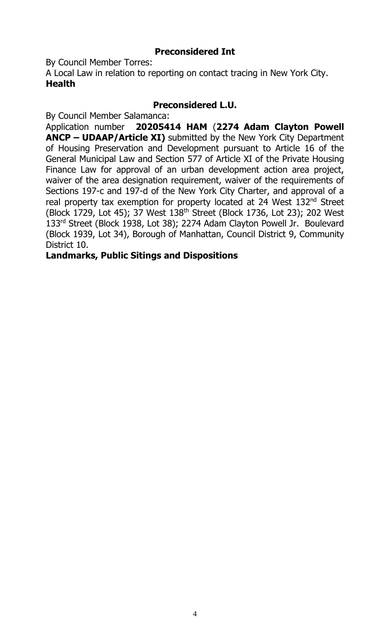#### **Preconsidered Int**

By Council Member Torres:

A Local Law in relation to reporting on contact tracing in New York City. **Health**

#### **Preconsidered L.U.**

By Council Member Salamanca:

Application number **20205414 HAM** (**2274 Adam Clayton Powell ANCP – UDAAP/Article XI)** submitted by the New York City Department of Housing Preservation and Development pursuant to Article 16 of the General Municipal Law and Section 577 of Article XI of the Private Housing Finance Law for approval of an urban development action area project, waiver of the area designation requirement, waiver of the requirements of Sections 197-c and 197-d of the New York City Charter, and approval of a real property tax exemption for property located at 24 West 132<sup>nd</sup> Street (Block 1729, Lot 45); 37 West 138th Street (Block 1736, Lot 23); 202 West 133<sup>rd</sup> Street (Block 1938, Lot 38); 2274 Adam Clayton Powell Jr. Boulevard (Block 1939, Lot 34), Borough of Manhattan, Council District 9, Community District 10.

#### **Landmarks, Public Sitings and Dispositions**